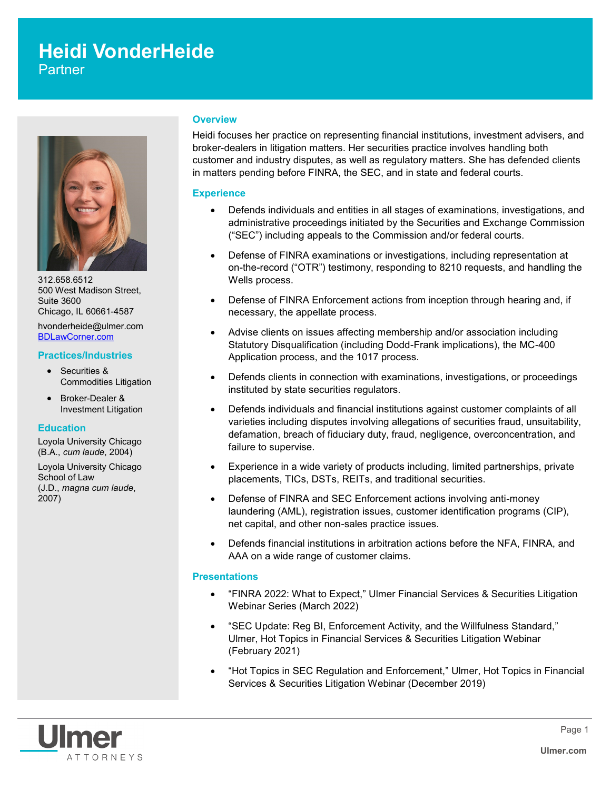# **Heidi VonderHeide**

**Partner** 



312.658.6512 500 West Madison Street, Suite 3600 Chicago, IL 60661-4587 hvonderheide@ulmer.com

[BDLawCorner.com](http://www.BDLawCorner.com)

# **Practices/Industries**

- Securities & Commodities Litigation
- Broker-Dealer & Investment Litigation

#### **Education**

Loyola University Chicago (B.A., *cum laude*, 2004)

Loyola University Chicago School of Law (J.D., *magna cum laude*, 2007)

#### **Overview**

Heidi focuses her practice on representing financial institutions, investment advisers, and broker-dealers in litigation matters. Her securities practice involves handling both customer and industry disputes, as well as regulatory matters. She has defended clients in matters pending before FINRA, the SEC, and in state and federal courts.

## **Experience**

- Defends individuals and entities in all stages of examinations, investigations, and administrative proceedings initiated by the Securities and Exchange Commission ("SEC") including appeals to the Commission and/or federal courts.
- Defense of FINRA examinations or investigations, including representation at on-the-record ("OTR") testimony, responding to 8210 requests, and handling the Wells process.
- Defense of FINRA Enforcement actions from inception through hearing and, if necessary, the appellate process.
- Advise clients on issues affecting membership and/or association including Statutory Disqualification (including Dodd-Frank implications), the MC-400 Application process, and the 1017 process.
- Defends clients in connection with examinations, investigations, or proceedings instituted by state securities regulators.
- Defends individuals and financial institutions against customer complaints of all varieties including disputes involving allegations of securities fraud, unsuitability, defamation, breach of fiduciary duty, fraud, negligence, overconcentration, and failure to supervise.
- Experience in a wide variety of products including, limited partnerships, private placements, TICs, DSTs, REITs, and traditional securities.
- Defense of FINRA and SEC Enforcement actions involving anti-money laundering (AML), registration issues, customer identification programs (CIP), net capital, and other non-sales practice issues.
- Defends financial institutions in arbitration actions before the NFA, FINRA, and AAA on a wide range of customer claims.

# **Presentations**

- "FINRA 2022: What to Expect," Ulmer Financial Services & Securities Litigation Webinar Series (March 2022)
- "SEC Update: Reg BI, Enforcement Activity, and the Willfulness Standard," Ulmer, Hot Topics in Financial Services & Securities Litigation Webinar (February 2021)
- "Hot Topics in SEC Regulation and Enforcement," Ulmer, Hot Topics in Financial Services & Securities Litigation Webinar (December 2019)